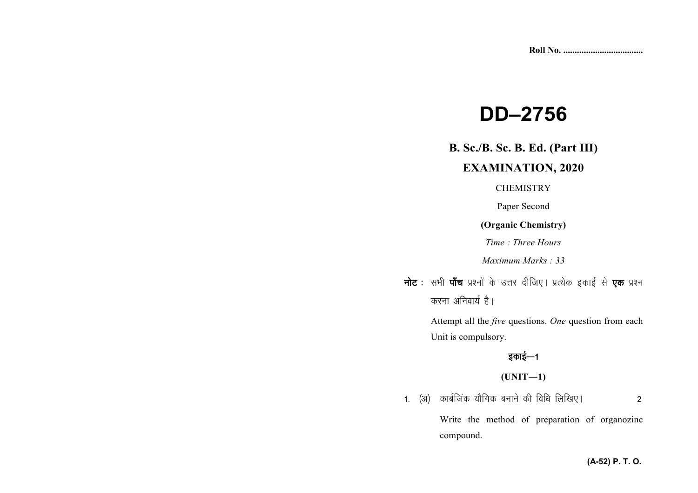# **DD–2756**

## **B. Sc./B. Sc. B. Ed. (Part III)**

## **EXAMINATION, 2020**

#### **CHEMISTRY**

Paper Second

#### **(Organic Chemistry)**

*Time : Three Hours* 

*Maximum Marks : 33*

**नोट** : सभी **पाँच** प्रश्नों के उत्तर दीजिए। प्रत्येक इकाई से **एक** प्रश्न *करना अनिवार्य है।* 

> Attempt all the *five* questions. *One* question from each Unit is compulsory.

# *bdkbZ*&*<sup>1</sup>*

## **(UNIT—1)**

*1- ¼v½ dkcZftad ;kSfxd cukus dh fof/k fyf[k,A 2* 

Write the method of preparation of organozinc compound.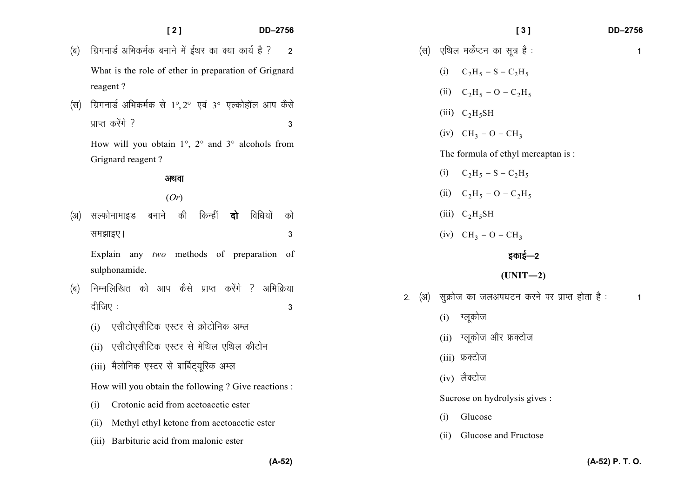|     | [2]                                                                   | DD-2756        | DD-2756<br>[3]                                                           |
|-----|-----------------------------------------------------------------------|----------------|--------------------------------------------------------------------------|
| (ब) | ग्रिगनार्ड अभिकर्मक बनाने में ईथर का क्या कार्य है ?                  | $\overline{2}$ | एथिल मर्केप्टन का सूत्र है :<br>(स)<br>1                                 |
|     | What is the role of ether in preparation of Grignard                  |                | $C_2H_5 - S - C_2H_5$<br>(i)                                             |
|     | reagent?                                                              |                | (ii) $C_2H_5 - O - C_2H_5$                                               |
| (स) | ग्रिगनार्ड अभिकर्मक से 1°,2° एवं 3° एल्कोहॉल आप कैसे                  |                | (iii) $C_2H_5SH$                                                         |
|     | प्राप्त करेंगे ?                                                      | 3              | (iv) $CH_3 - O - CH_3$                                                   |
|     | How will you obtain $1^\circ$ , $2^\circ$ and $3^\circ$ alcohols from |                | The formula of ethyl mercaptan is:                                       |
|     | Grignard reagent?                                                     |                | $C_2H_5 - S - C_2H_5$<br>(i)                                             |
|     | अथवा                                                                  |                | (ii) $C_2H_5 - O - C_2H_5$                                               |
|     | (Or)                                                                  |                |                                                                          |
| (अ) | बनाने की<br>किन्हीं<br>विधियों<br>सल्फोनामाइड<br>दो                   | को             | (iii) $C_2H_5SH$                                                         |
|     | समझाइए।                                                               | 3              | (iv) $CH_3 - O - CH_3$                                                   |
|     | Explain any two methods of preparation of                             |                | इकाई—2                                                                   |
|     | sulphonamide.                                                         |                | $(UNIT-2)$                                                               |
| (ब) | निम्नलिखित को आप कैसे प्राप्त करेंगे ? अभिक्रिया                      |                | सूक्रोज का जलअपघटन करने पर प्राप्त होता है:<br>(3)<br>2.<br>$\mathbf{1}$ |
|     | दीजिए :                                                               | 3              | ग्लूकोज<br>(i)                                                           |
|     | एसीटोएसीटिक एस्टर से क्रोटोनिक अम्ल<br>(i)                            |                |                                                                          |
|     | एसीटोएसीटिक एस्टर से मेथिल एथिल कीटोन<br>(ii)                         |                | ग्लूकोज और फ्रक्टोज<br>(ii)                                              |
|     | (iii) मैलोनिक एस्टर से बार्बिट्यूरिक अम्ल                             |                | (iii) फ्रक्टोज                                                           |
|     | How will you obtain the following ? Give reactions :                  | (iv) लैक्टोज   |                                                                          |
|     | Crotonic acid from acetoacetic ester<br>(i)                           |                | Sucrose on hydrolysis gives :                                            |
|     | Methyl ethyl ketone from acetoacetic ester<br>(ii)                    |                | Glucose<br>(i)                                                           |
|     | (iii) Barbituric acid from malonic ester                              |                | Glucose and Fructose<br>(i)                                              |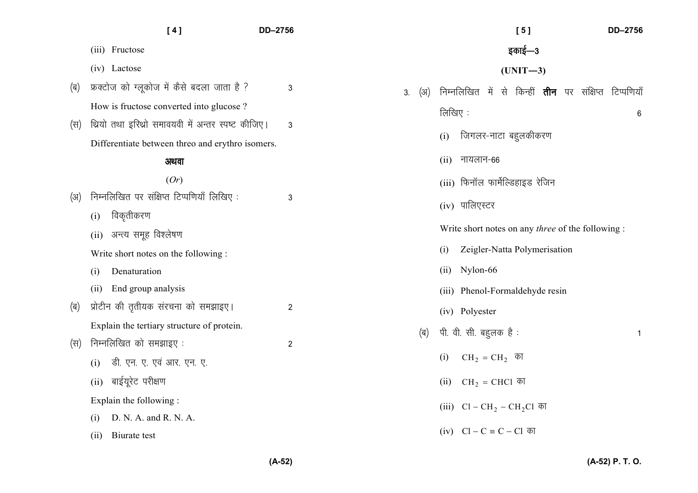|     | [4]                                                | DD-2756        | DD-2756<br>[5]                                                               |
|-----|----------------------------------------------------|----------------|------------------------------------------------------------------------------|
|     | (iii) Fructose                                     |                | इकाई—3                                                                       |
|     | (iv) Lactose                                       |                | $(UNIT-3)$                                                                   |
| (ब) | फ़क्टोज को ग्लूकोज में कैसे बदला जाता है ?         | 3              | से किन्हीं <b>तीन</b> पर संक्षिप्त टिप्पणियाँ<br>निम्नलिखित में<br>(अ)<br>3. |
|     | How is fructose converted into glucose?            |                | लिखिए:<br>$6\,$                                                              |
| (स) | थ्रियो तथा इरिथ्रो समावयवी में अन्तर स्पष्ट कीजिए। | $\mathbf{3}$   |                                                                              |
|     | Differentiate between threo and erythro isomers.   |                | जिगलर-नाटा बहुलकीकरण<br>(i)                                                  |
|     | अथवा                                               |                | नायलान-66<br>(ii)                                                            |
|     | (Or)                                               |                | (iii) फिनॉल फार्मेल्डिहाइड रेजिन                                             |
| (अ) | निम्नलिखित पर संक्षिप्त टिप्पणियाँ लिखिए:          | 3              | (iv) पालिएस्टर                                                               |
|     | विकृतीकरण<br>(i)                                   |                |                                                                              |
|     | अन्त्य समूह विश्लेषण<br>(ii)                       |                | Write short notes on any <i>three</i> of the following :                     |
|     | Write short notes on the following:                |                | Zeigler-Natta Polymerisation<br>(i)                                          |
|     | Denaturation<br>(i)                                |                | Nylon-66<br>(ii)                                                             |
|     | End group analysis<br>(ii)                         |                | (iii) Phenol-Formaldehyde resin                                              |
| (ब) | प्रोटीन की तृतीयक संरचना को समझाइए।                | $\overline{c}$ | (iv) Polyester                                                               |
|     | Explain the tertiary structure of protein.         |                | पी. वी. सी. बहुलक है :<br>(ब)<br>$\mathbf{1}$                                |
| (स) | निम्नलिखित को समझाइए:                              | $\overline{c}$ |                                                                              |
|     | डी. एन. ए. एवं आर. एन. ए.<br>(i)                   |                | $CH_2 = CH_2$ का<br>(i)                                                      |
|     | बाईयूरेट परीक्षण<br>(ii)                           |                | CH <sub>2</sub> = CHCl का<br>(ii)                                            |
|     | Explain the following:                             |                | (iii) $Cl - CH_2 - CH_2Cl$ का                                                |
|     | D. N. A. and R. N. A.<br>(i)                       |                |                                                                              |
|     | Biurate test<br>(ii)                               |                | (iv) $Cl - C ≡ C - Cl$ का                                                    |

**(A-52) P. T. O.**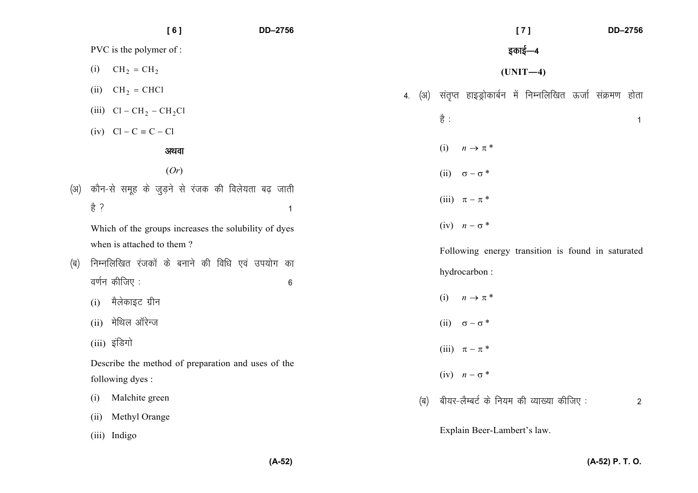|     | [6]                           | DD-2756                                                           |                                                  | [7]<br>DD-2756                                          |
|-----|-------------------------------|-------------------------------------------------------------------|--------------------------------------------------|---------------------------------------------------------|
|     | PVC is the polymer of :       |                                                                   |                                                  | इकाई—4                                                  |
|     | $CH_2 = CH_2$<br>(i)          |                                                                   |                                                  | $(UNIT-4)$                                              |
|     | $CH2 = CHCl$<br>(ii)          |                                                                   | (अ)<br>4.                                        | संतृप्त हाइड्रोकार्बन में निम्नलिखित ऊर्जा संक्रमण होता |
|     | (iii) $Cl - CH_2 - CH_2Cl$    |                                                                   | है :                                             | $\mathbf{1}$                                            |
|     | $(iv)$ $Cl - C \equiv C - Cl$ |                                                                   |                                                  |                                                         |
|     | अथवा                          |                                                                   | (i)<br>$n \rightarrow \pi^*$                     |                                                         |
|     | (Or)                          |                                                                   | (ii)<br>$\sigma-\sigma$ *                        |                                                         |
| (अ) | 흉 ?                           | कौन-से समूह के जुड़ने से रंजक की विलेयता बढ़ जाती<br>$\mathbf{1}$ | (iii) $\pi - \pi^*$                              |                                                         |
|     | when is attached to them?     | Which of the groups increases the solubility of dyes              | $(iv)$ $n - \sigma^*$                            |                                                         |
|     |                               |                                                                   |                                                  | Following energy transition is found in saturated       |
| (ब) | वर्णन कीजिए:                  | निम्नलिखित रंजकों के बनाने की विधि एवं उपयोग का<br>$\,6\,$        | hydrocarbon:                                     |                                                         |
|     | मैलेकाइट ग्रीन<br>(i)         |                                                                   | (i)<br>$n \rightarrow \pi^*$                     |                                                         |
|     | मेथिल ऑरेन्ज<br>(ii)          |                                                                   | (ii) $\sigma - \sigma^*$                         |                                                         |
|     | (iii) इंडिगो                  |                                                                   | (iii) $\pi - \pi$ *                              |                                                         |
|     |                               | Describe the method of preparation and uses of the                |                                                  |                                                         |
|     | following dyes:               |                                                                   | (iv) $n - \sigma^*$                              |                                                         |
|     | Malchite green<br>(i)         |                                                                   | बीयर-लैम्बर्ट के नियम की व्याख्या कीजिए :<br>(ब) | $\overline{2}$                                          |
|     | Methyl Orange<br>(ii)         |                                                                   |                                                  |                                                         |
|     | (iii) Indigo                  |                                                                   | Explain Beer-Lambert's law.                      |                                                         |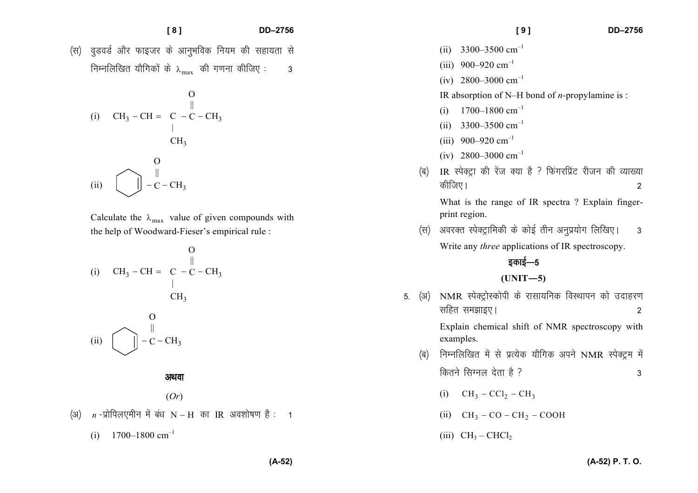- **[ 8 ] DD–2756**
- *(*स) वृडवर्ड और फाइजर के आनुभविक नियम की सहायता से *fuEufyf[kr ;kSfxdksa ds* <sup>λ</sup>max *dh x.kuk dhft, % 3*

(i) 
$$
CH_3 - CH = C - C - CH_3
$$
  
\n
$$
\begin{array}{ccc}\n & 0 & \parallel \\
 & \vert & \\
 & CH_3 & \\
\hline\n & 0 & \\
 & \vert & \\
\end{array}
$$
\n(ii) 
$$
\begin{array}{ccc}\n & 0 & \parallel \\
 & \vert & \\
 & -C - CH_3 & \\
\end{array}
$$

Calculate the  $\lambda_{\text{max}}$  value of given compounds with the help of Woodward-Fieser's empirical rule :

(i) 
$$
CH_3 - CH = C - C - CH_3
$$
  
\n $CH_3$   
\n $CH_3$   
\n(i)  $\boxed{\bigcup_{n=0}^{n} -C - CH_3}$ 

*vFkok*

(*Or*)

*¼v½ n* $n$ -प्रोपिलएमीन में बंध N − H का IR अवशोषण है: 1

(i)  $1700-1800 \text{ cm}^{-1}$ 

- (ii) 3300–3500  $cm^{-1}$
- (iii) 900–920  $cm^{-1}$
- (iv) 2800–3000  $cm^{-1}$

IR absorption of N–H bond of *n*-propylamine is :

- (i)  $1700-1800 \text{ cm}^{-1}$
- (ii)  $3300 3500$  cm<sup>-1</sup>
- (iii) 900–920  $cm^{-1}$
- (iv) 2800–3000  $cm^{-1}$
- *¼c½* IR *LisDVªk dh jsat D;k gS \ fQaxjfizaV jhtu dh O;k[;kdhft,A 2*

What is the range of IR spectra ? Explain fingerprint region.

(स) अवरक्त स्पेक्ट्रामिकी के कोई तीन अनुप्रयोग लिखिए। 3 Write any *three* applications of IR spectroscopy.

# *sकाई—5*

## **(UNIT—5)**

- 5. (अ) NMR स्पेक्ट्रोस्कोपी के रासायनिक विस्थापन को उदाहरण *lfgr le>kb,A 2* Explain chemical shift of NMR spectroscopy with examples. *¼c½ fuEufyf[kr esa ls izR;sd ;kSfxd vius* NMR *LisDVªe esa* 
	- *fdrus flXuy nsrk gS \ 3* 
		- (i)  $CH_3 CCl_2 CH_3$
		- (ii)  $CH_3 CO CH_2 COOH$
		- (iii)  $CH_3 CHCl_2$